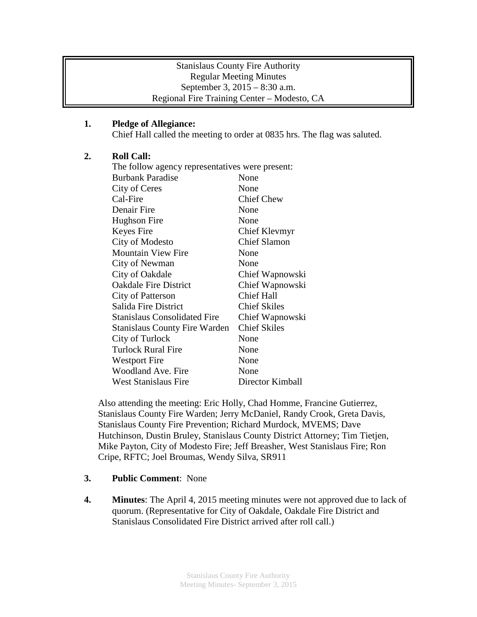## Stanislaus County Fire Authority Regular Meeting Minutes September 3, 2015 – 8:30 a.m. Regional Fire Training Center – Modesto, CA

# **1. Pledge of Allegiance:**

Chief Hall called the meeting to order at 0835 hrs. The flag was saluted.

# **2. Roll Call:**

| The follow agency representatives were present: |                     |
|-------------------------------------------------|---------------------|
| <b>Burbank Paradise</b>                         | None                |
| City of Ceres                                   | None                |
| Cal-Fire                                        | <b>Chief Chew</b>   |
| Denair Fire                                     | None                |
| Hughson Fire                                    | None                |
| Keyes Fire                                      | Chief Klevmyr       |
| City of Modesto                                 | <b>Chief Slamon</b> |
| <b>Mountain View Fire</b>                       | None                |
| City of Newman                                  | None                |
| City of Oakdale                                 | Chief Wapnowski     |
| <b>Oakdale Fire District</b>                    | Chief Wapnowski     |
| <b>City of Patterson</b>                        | <b>Chief Hall</b>   |
| Salida Fire District                            | <b>Chief Skiles</b> |
| <b>Stanislaus Consolidated Fire</b>             | Chief Wapnowski     |
| <b>Stanislaus County Fire Warden</b>            | <b>Chief Skiles</b> |
| City of Turlock                                 | None                |
| <b>Turlock Rural Fire</b>                       | None                |
| <b>Westport Fire</b>                            | None                |
| Woodland Ave. Fire                              | None                |
| West Stanislaus Fire                            | Director Kimball    |

Also attending the meeting: Eric Holly, Chad Homme, Francine Gutierrez, Stanislaus County Fire Warden; Jerry McDaniel, Randy Crook, Greta Davis, Stanislaus County Fire Prevention; Richard Murdock, MVEMS; Dave Hutchinson, Dustin Bruley, Stanislaus County District Attorney; Tim Tietjen, Mike Payton, City of Modesto Fire; Jeff Breasher, West Stanislaus Fire; Ron Cripe, RFTC; Joel Broumas, Wendy Silva, SR911

- **3. Public Comment**: None
- **4. Minutes**: The April 4, 2015 meeting minutes were not approved due to lack of quorum. (Representative for City of Oakdale, Oakdale Fire District and Stanislaus Consolidated Fire District arrived after roll call.)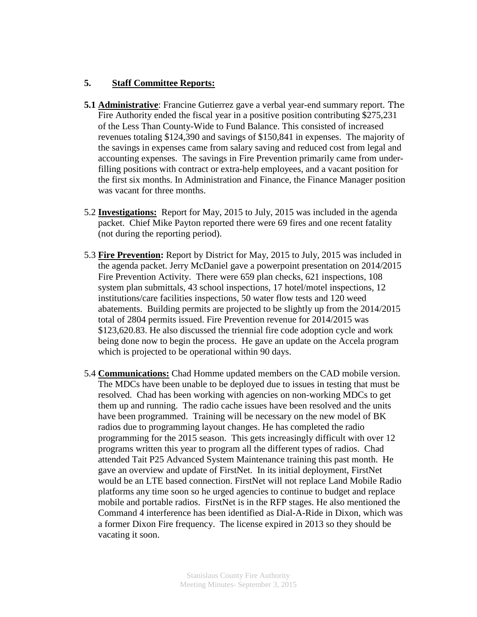#### **5. Staff Committee Reports:**

- **5.1 Administrative**: Francine Gutierrez gave a verbal year-end summary report. The Fire Authority ended the fiscal year in a positive position contributing \$275,231 of the Less Than County-Wide to Fund Balance. This consisted of increased revenues totaling \$124,390 and savings of \$150,841 in expenses. The majority of the savings in expenses came from salary saving and reduced cost from legal and accounting expenses. The savings in Fire Prevention primarily came from underfilling positions with contract or extra-help employees, and a vacant position for the first six months. In Administration and Finance, the Finance Manager position was vacant for three months.
- 5.2 **Investigations:** Report for May, 2015 to July, 2015 was included in the agenda packet. Chief Mike Payton reported there were 69 fires and one recent fatality (not during the reporting period).
- 5.3 **Fire Prevention:** Report by District for May, 2015 to July, 2015 was included in the agenda packet. Jerry McDaniel gave a powerpoint presentation on 2014/2015 Fire Prevention Activity. There were 659 plan checks, 621 inspections, 108 system plan submittals, 43 school inspections, 17 hotel/motel inspections, 12 institutions/care facilities inspections, 50 water flow tests and 120 weed abatements. Building permits are projected to be slightly up from the 2014/2015 total of 2804 permits issued. Fire Prevention revenue for 2014/2015 was \$123,620.83. He also discussed the triennial fire code adoption cycle and work being done now to begin the process. He gave an update on the Accela program which is projected to be operational within 90 days.
- 5.4 **Communications:** Chad Homme updated members on the CAD mobile version. The MDCs have been unable to be deployed due to issues in testing that must be resolved. Chad has been working with agencies on non-working MDCs to get them up and running. The radio cache issues have been resolved and the units have been programmed. Training will be necessary on the new model of BK radios due to programming layout changes. He has completed the radio programming for the 2015 season. This gets increasingly difficult with over 12 programs written this year to program all the different types of radios. Chad attended Tait P25 Advanced System Maintenance training this past month. He gave an overview and update of FirstNet. In its initial deployment, FirstNet would be an LTE based connection. FirstNet will not replace Land Mobile Radio platforms any time soon so he urged agencies to continue to budget and replace mobile and portable radios. FirstNet is in the RFP stages. He also mentioned the Command 4 interference has been identified as Dial-A-Ride in Dixon, which was a former Dixon Fire frequency. The license expired in 2013 so they should be vacating it soon.